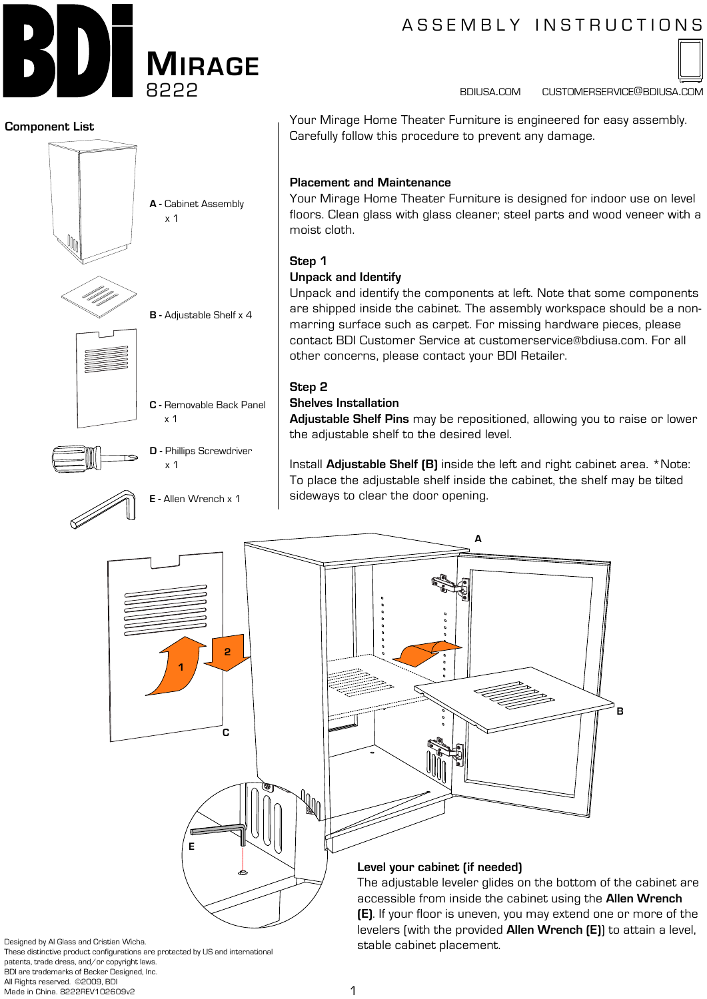

# A S S E M B L Y IN S T R U C T I O N S

bdiusa.com customerservice@bdiusa.com



Your Mirage Home Theater Furniture is engineered for easy assembly. **2.** Carefully follow this procedure to prevent any damage.

Your Mirage Home Theater Furniture is designed for indoor use on level **3. 1.** floors. Clean glass with glass cleaner; steel parts and wood veneer with a

Unpack and identify the components at left. Note that some components are shipped inside the cabinet. The assembly workspace should be a non-**2.** marring surface such as carpet. For missing hardware pieces, please contact BDI Customer Service at customerservice@bdiusa.com. For all other concerns, please contact your BDI Retailer. **1.**

**Adjustable Shelf Pins** may be repositioned, allowing you to raise or lower **3.** the adjustable shelf to the desired level.

Install **Adjustable Shelf (B)** inside the left and right cabinet area. \*Note: To place the adjustable shelf inside the cabinet, the shelf may be tilted sideways to clear the door opening.



Designed by Al Glass and Cristian Wicha.

These distinctive product configurations are protected by US and international patents, trade dress, and/or copyright laws. BDI are trademarks of Becker Designed, Inc. All Rights reserved. ©2009, BDI Made in China. 8222REV102609v2

stable cabinet placement.